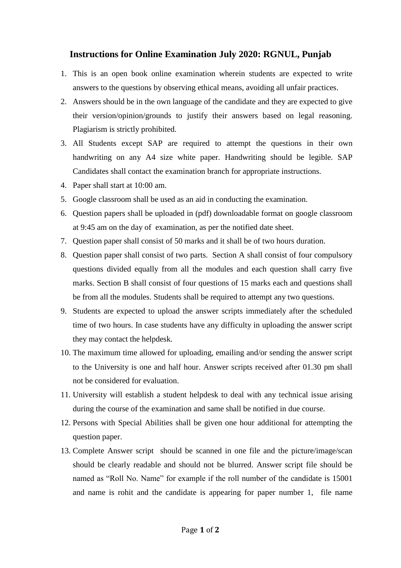## **Instructions for Online Examination July 2020: RGNUL, Punjab**

- 1. This is an open book online examination wherein students are expected to write answers to the questions by observing ethical means, avoiding all unfair practices.
- 2. Answers should be in the own language of the candidate and they are expected to give their version/opinion/grounds to justify their answers based on legal reasoning. Plagiarism is strictly prohibited.
- 3. All Students except SAP are required to attempt the questions in their own handwriting on any A4 size white paper. Handwriting should be legible. SAP Candidates shall contact the examination branch for appropriate instructions.
- 4. Paper shall start at 10:00 am.
- 5. Google classroom shall be used as an aid in conducting the examination.
- 6. Question papers shall be uploaded in (pdf) downloadable format on google classroom at 9:45 am on the day of examination, as per the notified date sheet.
- 7. Question paper shall consist of 50 marks and it shall be of two hours duration.
- 8. Question paper shall consist of two parts. Section A shall consist of four compulsory questions divided equally from all the modules and each question shall carry five marks. Section B shall consist of four questions of 15 marks each and questions shall be from all the modules. Students shall be required to attempt any two questions.
- 9. Students are expected to upload the answer scripts immediately after the scheduled time of two hours. In case students have any difficulty in uploading the answer script they may contact the helpdesk.
- 10. The maximum time allowed for uploading, emailing and/or sending the answer script to the University is one and half hour. Answer scripts received after 01.30 pm shall not be considered for evaluation.
- 11. University will establish a student helpdesk to deal with any technical issue arising during the course of the examination and same shall be notified in due course.
- 12. Persons with Special Abilities shall be given one hour additional for attempting the question paper.
- 13. Complete Answer script should be scanned in one file and the picture/image/scan should be clearly readable and should not be blurred. Answer script file should be named as "Roll No. Name" for example if the roll number of the candidate is 15001 and name is rohit and the candidate is appearing for paper number 1, file name